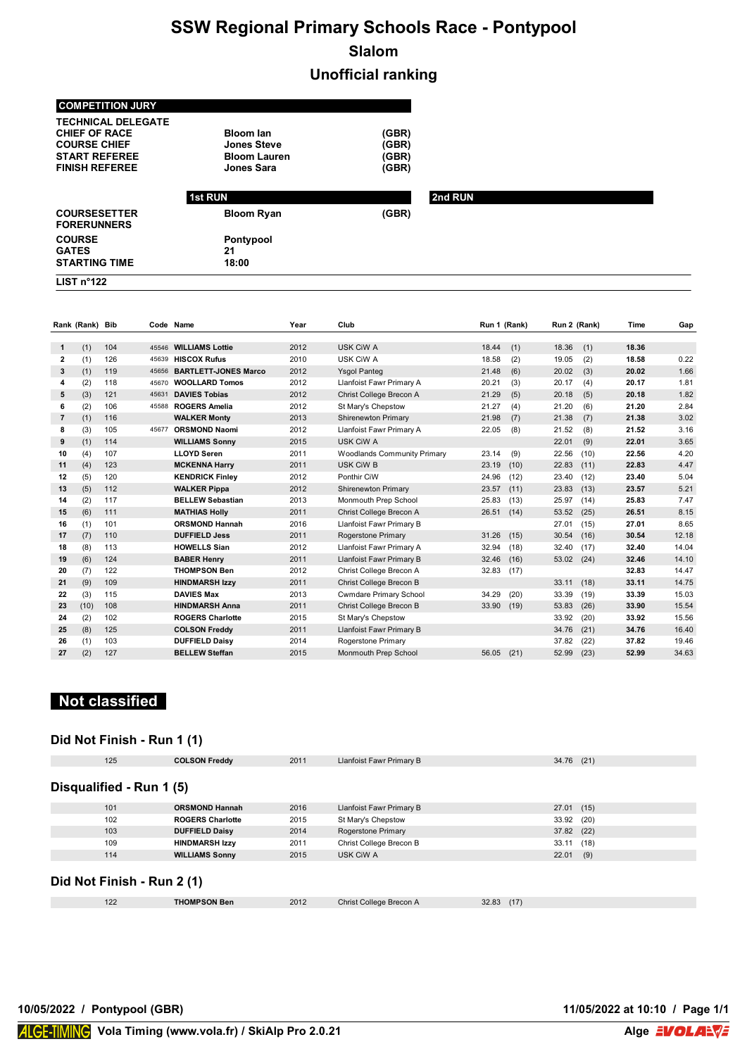# **SSW Regional Primary Schools Race - Pontypool Slalom**

### **Unofficial ranking**

| <b>COMPETITION JURY</b>                   |                     |       |         |
|-------------------------------------------|---------------------|-------|---------|
| <b>TECHNICAL DELEGATE</b>                 |                     |       |         |
| <b>CHIEF OF RACE</b>                      | <b>Bloom lan</b>    | (GBR) |         |
| <b>COURSE CHIEF</b>                       | <b>Jones Steve</b>  | (GBR) |         |
| <b>START REFEREE</b>                      | <b>Bloom Lauren</b> | (GBR) |         |
| <b>FINISH REFEREE</b>                     | Jones Sara          | (GBR) |         |
|                                           |                     |       |         |
|                                           | <b>1st RUN</b>      |       | 2nd RUN |
| <b>COURSESETTER</b><br><b>FORERUNNERS</b> | <b>Bloom Ryan</b>   | (GBR) |         |
| <b>COURSE</b>                             | Pontypool           |       |         |
| <b>GATES</b>                              | 21                  |       |         |
| <b>STARTING TIME</b>                      | 18:00               |       |         |
|                                           |                     |       |         |

|                | Rank (Rank) Bib |     |       | Code Name                   | Year | Club                               | Run 1 (Rank)  | Run 2 (Rank)  | Time  | Gap   |
|----------------|-----------------|-----|-------|-----------------------------|------|------------------------------------|---------------|---------------|-------|-------|
|                |                 |     |       | 45546 WILLIAMS Lottie       |      |                                    |               |               |       |       |
| 1.             | (1)             | 104 |       |                             | 2012 | <b>USK CiW A</b>                   | 18.44<br>(1)  | 18.36<br>(1)  | 18.36 |       |
| 2              | (1)             | 126 | 45639 | <b>HISCOX Rufus</b>         | 2010 | USK CiW A                          | 18.58<br>(2)  | 19.05<br>(2)  | 18.58 | 0.22  |
| 3              | (1)             | 119 | 45656 | <b>BARTLETT JONES Marco</b> | 2012 | <b>Ysgol Panteg</b>                | 21.48<br>(6)  | 20.02<br>(3)  | 20.02 | 1.66  |
| 4              | (2)             | 118 | 45670 | <b>WOOLLARD Tomos</b>       | 2012 | Llanfoist Fawr Primary A           | 20.21<br>(3)  | 20.17<br>(4)  | 20.17 | 1.81  |
| 5              | (3)             | 121 | 45631 | <b>DAVIES Tobias</b>        | 2012 | Christ College Brecon A            | 21.29<br>(5)  | 20.18<br>(5)  | 20.18 | 1.82  |
| 6              | (2)             | 106 |       | 45588 ROGERS Amelia         | 2012 | St Mary's Chepstow                 | 21.27<br>(4)  | 21.20<br>(6)  | 21.20 | 2.84  |
| $\overline{7}$ | (1)             | 116 |       | <b>WALKER Monty</b>         | 2013 | Shirenewton Primary                | 21.98<br>(7)  | 21.38<br>(7)  | 21.38 | 3.02  |
| 8              | (3)             | 105 |       | 45677 ORSMOND Naomi         | 2012 | Llanfoist Fawr Primary A           | 22.05<br>(8)  | 21.52<br>(8)  | 21.52 | 3.16  |
| 9              | (1)             | 114 |       | <b>WILLIAMS Sonny</b>       | 2015 | USK CiW A                          |               | 22.01<br>(9)  | 22.01 | 3.65  |
| 10             | (4)             | 107 |       | <b>LLOYD Seren</b>          | 2011 | <b>Woodlands Community Primary</b> | (9)<br>23.14  | 22.56<br>(10) | 22.56 | 4.20  |
| 11             | (4)             | 123 |       | <b>MCKENNA Harry</b>        | 2011 | USK CiW B                          | 23.19<br>(10) | 22.83<br>(11) | 22.83 | 4.47  |
| 12             | (5)             | 120 |       | <b>KENDRICK Finley</b>      | 2012 | Ponthir CiW                        | 24.96<br>(12) | 23.40<br>(12) | 23.40 | 5.04  |
| 13             | (5)             | 112 |       | <b>WALKER Pippa</b>         | 2012 | <b>Shirenewton Primary</b>         | 23.57<br>(11) | 23.83<br>(13) | 23.57 | 5.21  |
| 14             | (2)             | 117 |       | <b>BELLEW Sebastian</b>     | 2013 | Monmouth Prep School               | 25.83<br>(13) | 25.97<br>(14) | 25.83 | 7.47  |
| 15             | (6)             | 111 |       | <b>MATHIAS Holly</b>        | 2011 | Christ College Brecon A            | 26.51<br>(14) | 53.52<br>(25) | 26.51 | 8.15  |
| 16             | (1)             | 101 |       | <b>ORSMOND Hannah</b>       | 2016 | Llanfoist Fawr Primary B           |               | 27.01<br>(15) | 27.01 | 8.65  |
| 17             | (7)             | 110 |       | <b>DUFFIELD Jess</b>        | 2011 | <b>Rogerstone Primary</b>          | 31.26<br>(15) | 30.54<br>(16) | 30.54 | 12.18 |
| 18             | (8)             | 113 |       | <b>HOWELLS Sian</b>         | 2012 | Llanfoist Fawr Primary A           | 32.94<br>(18) | 32.40<br>(17) | 32.40 | 14.04 |
| 19             | (6)             | 124 |       | <b>BABER Henry</b>          | 2011 | Llanfoist Fawr Primary B           | 32.46<br>(16) | 53.02<br>(24) | 32.46 | 14.10 |
| 20             | (7)             | 122 |       | <b>THOMPSON Ben</b>         | 2012 | Christ College Brecon A            | 32.83<br>(17) |               | 32.83 | 14.47 |
| 21             | (9)             | 109 |       | <b>HINDMARSH Izzy</b>       | 2011 | Christ College Brecon B            |               | 33.11<br>(18) | 33.11 | 14.75 |
| 22             | (3)             | 115 |       | <b>DAVIES Max</b>           | 2013 | <b>Cwmdare Primary School</b>      | 34.29<br>(20) | 33.39<br>(19) | 33.39 | 15.03 |
| 23             | (10)            | 108 |       | <b>HINDMARSH Anna</b>       | 2011 | Christ College Brecon B            | 33.90<br>(19) | 53.83<br>(26) | 33.90 | 15.54 |
| 24             | (2)             | 102 |       | <b>ROGERS Charlotte</b>     | 2015 | St Mary's Chepstow                 |               | 33.92<br>(20) | 33.92 | 15.56 |
| 25             | (8)             | 125 |       | <b>COLSON Freddy</b>        | 2011 | Llanfoist Fawr Primary B           |               | 34.76<br>(21) | 34.76 | 16.40 |
| 26             | (1)             | 103 |       | <b>DUFFIELD Daisv</b>       | 2014 | Rogerstone Primary                 |               | 37.82<br>(22) | 37.82 | 19.46 |
| 27             | (2)             | 127 |       | <b>BELLEW Steffan</b>       | 2015 | <b>Monmouth Prep School</b>        | 56.05<br>(21) | 52.99<br>(23) | 52.99 | 34.63 |

### **Not classified**

#### **Did Not Finish - Run 1 (1)**

| 125                      | <b>COLSON Freddy</b>       | 2011 | Llanfoist Fawr Primary B | $34.76$ (21) |     |  |  |  |
|--------------------------|----------------------------|------|--------------------------|--------------|-----|--|--|--|
|                          |                            |      |                          |              |     |  |  |  |
| Disqualified - Run 1 (5) |                            |      |                          |              |     |  |  |  |
| 101                      | <b>ORSMOND Hannah</b>      | 2016 | Llanfoist Fawr Primary B | 27.01(15)    |     |  |  |  |
| 102                      | <b>ROGERS Charlotte</b>    | 2015 | St Mary's Chepstow       | 33.92 (20)   |     |  |  |  |
| 103                      | <b>DUFFIELD Daisy</b>      | 2014 | Rogerstone Primary       | 37.82 (22)   |     |  |  |  |
| 109                      | <b>HINDMARSH Izzy</b>      | 2011 | Christ College Brecon B  | 33.11 (18)   |     |  |  |  |
| 114                      | <b>WILLIAMS Sonny</b>      | 2015 | USK CiW A                | 22.01        | (9) |  |  |  |
|                          |                            |      |                          |              |     |  |  |  |
|                          | Did Not Finish - Run 2 (1) |      |                          |              |     |  |  |  |

| 122<br>L2<br>$-$ | <b>THOMPSON Ben</b> | 2012 | Christ College Brecon A | (17)<br>32.83<br>. |  |
|------------------|---------------------|------|-------------------------|--------------------|--|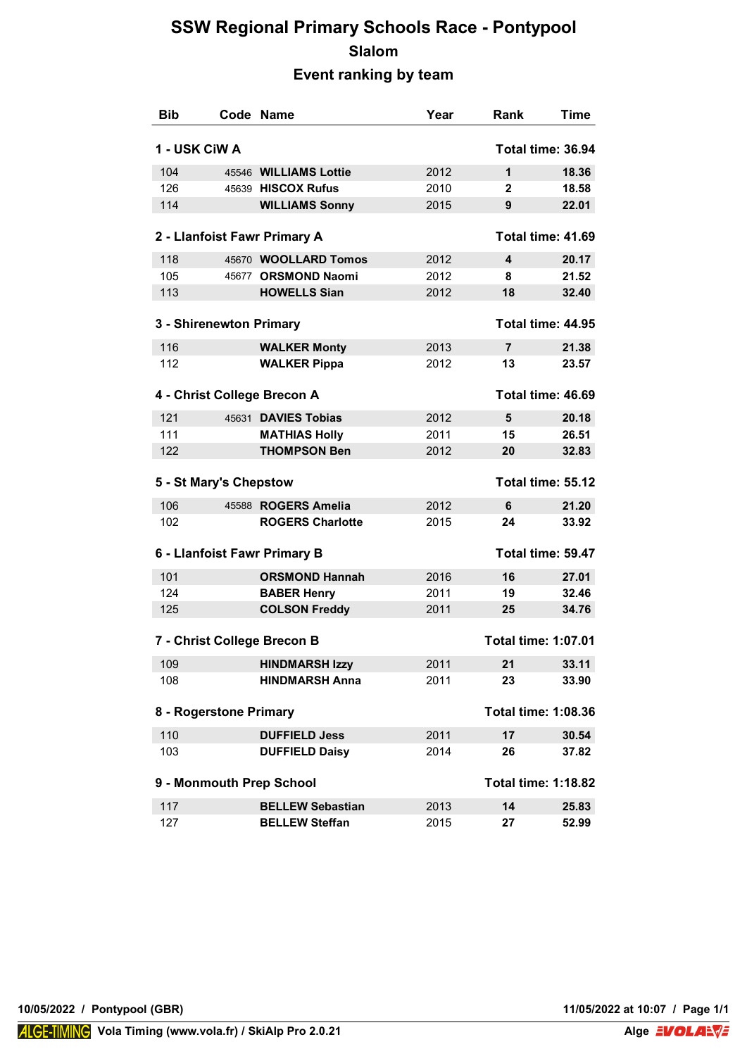## **SSW Regional Primary Schools Race - Pontypool Slalom Event ranking by team**

| <b>Bib</b>    |                         | Code Name                    | Year | Rank                       | Time              |
|---------------|-------------------------|------------------------------|------|----------------------------|-------------------|
| 1 - USK CiW A |                         |                              |      |                            | Total time: 36.94 |
| 104           |                         | 45546 WILLIAMS Lottie        | 2012 | $\mathbf 1$                | 18.36             |
| 126           |                         | 45639 HISCOX Rufus           | 2010 | $\mathbf{2}$               | 18.58             |
| 114           |                         | <b>WILLIAMS Sonny</b>        | 2015 | 9                          | 22.01             |
|               |                         | 2 - Llanfoist Fawr Primary A |      |                            | Total time: 41.69 |
| 118           |                         | 45670 WOOLLARD Tomos         | 2012 | 4                          | 20.17             |
| 105           |                         | 45677 ORSMOND Naomi          | 2012 | 8                          | 21.52             |
| 113           |                         | <b>HOWELLS Sian</b>          | 2012 | 18                         | 32.40             |
|               |                         |                              |      |                            |                   |
|               | 3 - Shirenewton Primary |                              |      |                            | Total time: 44.95 |
| 116           |                         | <b>WALKER Monty</b>          | 2013 | $\overline{7}$             | 21.38             |
| 112           |                         | <b>WALKER Pippa</b>          | 2012 | 13                         | 23.57             |
|               |                         | 4 - Christ College Brecon A  |      |                            | Total time: 46.69 |
| 121           |                         | 45631 DAVIES Tobias          | 2012 | 5                          | 20.18             |
| 111           |                         | <b>MATHIAS Holly</b>         | 2011 | 15                         | 26.51             |
| 122           |                         | <b>THOMPSON Ben</b>          | 2012 | 20                         | 32.83             |
|               | 5 - St Mary's Chepstow  |                              |      |                            | Total time: 55.12 |
| 106           |                         | 45588 ROGERS Amelia          | 2012 | 6                          | 21.20             |
| 102           |                         | <b>ROGERS Charlotte</b>      | 2015 | 24                         | 33.92             |
|               |                         | 6 - Llanfoist Fawr Primary B |      |                            | Total time: 59.47 |
| 101           |                         | <b>ORSMOND Hannah</b>        | 2016 | 16                         | 27.01             |
| 124           |                         | <b>BABER Henry</b>           | 2011 | 19                         | 32.46             |
| 125           |                         | <b>COLSON Freddy</b>         | 2011 | 25                         | 34.76             |
|               |                         | 7 - Christ College Brecon B  |      | <b>Total time: 1:07.01</b> |                   |
| 109           |                         | <b>HINDMARSH Izzy</b>        | 2011 | 21                         | 33.11             |
| 108           |                         | <b>HINDMARSH Anna</b>        | 2011 | 23                         | 33.90             |
|               | 8 - Rogerstone Primary  |                              |      | <b>Total time: 1:08.36</b> |                   |
| 110           |                         | <b>DUFFIELD Jess</b>         | 2011 | 17                         | 30.54             |
| 103           |                         | <b>DUFFIELD Daisy</b>        | 2014 | 26                         | 37.82             |
|               |                         | 9 - Monmouth Prep School     |      | <b>Total time: 1:18.82</b> |                   |
| 117           |                         | <b>BELLEW Sebastian</b>      | 2013 | 14                         | 25.83             |
| 127           |                         | <b>BELLEW Steffan</b>        | 2015 | 27                         | 52.99             |
|               |                         |                              |      |                            |                   |

**10/05/2022 / Pontypool (GBR) 11/05/2022 at 10:07 / Page 1/1**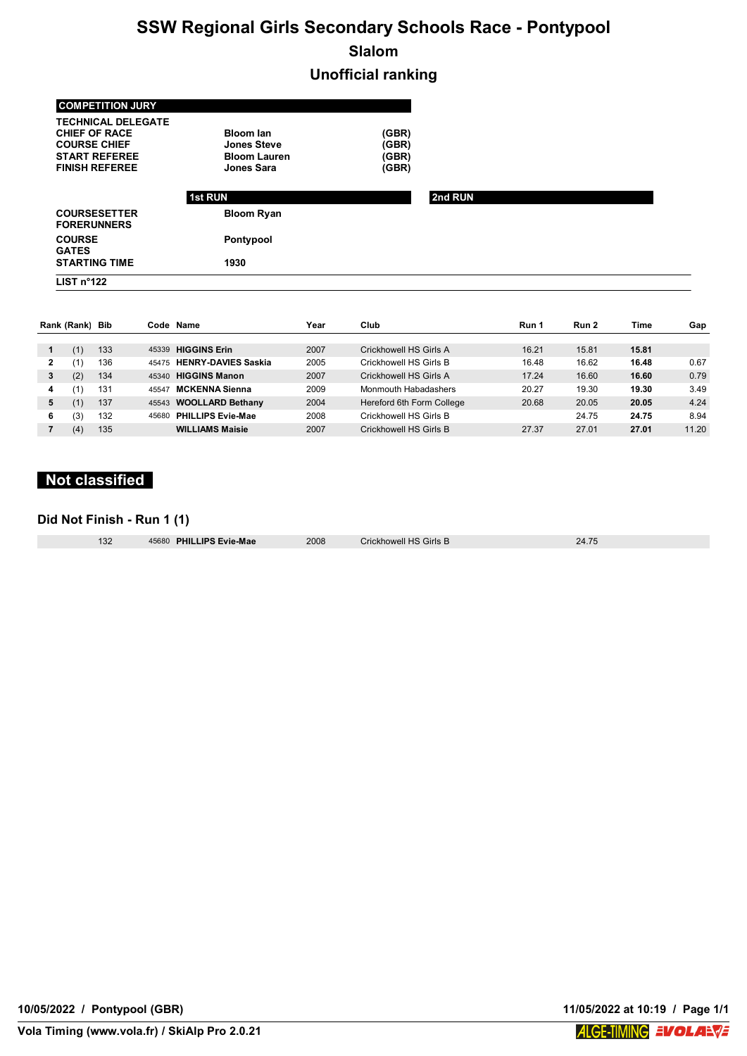# **SSW Regional Girls Secondary Schools Race - Pontypool Slalom**

**Unofficial ranking**

| LIST $n^{\circ}122$                                                      |                                          |                |         |  |
|--------------------------------------------------------------------------|------------------------------------------|----------------|---------|--|
| <b>STARTING TIME</b>                                                     | 1930                                     |                |         |  |
| <b>COURSE</b><br><b>GATES</b>                                            | Pontypool                                |                |         |  |
| <b>COURSESETTER</b><br><b>FORERUNNERS</b>                                | <b>Bloom Ryan</b>                        |                |         |  |
|                                                                          | <b>1st RUN</b>                           |                | 2nd RUN |  |
| <b>START REFEREE</b><br><b>FINISH REFEREE</b>                            | <b>Bloom Lauren</b><br><b>Jones Sara</b> | (GBR)<br>(GBR) |         |  |
| <b>TECHNICAL DELEGATE</b><br><b>CHIEF OF RACE</b><br><b>COURSE CHIEF</b> | <b>Bloom lan</b><br><b>Jones Steve</b>   | (GBR)<br>(GBR) |         |  |
| <b>COMPETITION JURY</b>                                                  |                                          |                |         |  |

|   | Rank (Rank)    | Bib |       | Code Name                  | Year | Club                      | Run 1 | Run 2 | Time  | Gap   |
|---|----------------|-----|-------|----------------------------|------|---------------------------|-------|-------|-------|-------|
|   | (1)            | 133 | 45339 | <b>HIGGINS Erin</b>        | 2007 | Crickhowell HS Girls A    | 16.21 | 15.81 | 15.81 |       |
|   | 11             | 136 | 45475 | <b>HENRY-DAVIES Saskia</b> | 2005 | Crickhowell HS Girls B    | 16.48 | 16.62 | 16.48 | 0.67  |
| 3 | (2)            | 134 | 45340 | <b>HIGGINS Manon</b>       | 2007 | Crickhowell HS Girls A    | 17.24 | 16.60 | 16.60 | 0.79  |
| 4 | 11             | 131 | 45547 | <b>MCKENNA Sienna</b>      | 2009 | Monmouth Habadashers      | 20.27 | 19.30 | 19.30 | 3.49  |
| 5 | $^{\prime}$ 1, | 137 |       | 45543 WOOLLARD Bethany     | 2004 | Hereford 6th Form College | 20.68 | 20.05 | 20.05 | 4.24  |
| 6 | (3)            | 132 | 45680 | <b>PHILLIPS Evie-Mae</b>   | 2008 | Crickhowell HS Girls B    |       | 24.75 | 24.75 | 8.94  |
|   | (4)            | 135 |       | <b>WILLIAMS Maisie</b>     | 2007 | Crickhowell HS Girls B    | 27.37 | 27.01 | 27.01 | 11.20 |

## **Not classified**

#### **Did Not Finish - Run 1 (1)**

| 132 | 45680 PHILI |
|-----|-------------|
|     |             |

**LIPS Evie-Mae** 2008 Crickhowell HS Girls B 24.75

**10/05/2022 / Pontypool (GBR) 11/05/2022 at 10:19 / Page 1/1**

**Vola Timing (www.vola.fr) / SkiAlp Pro 2.0.21**

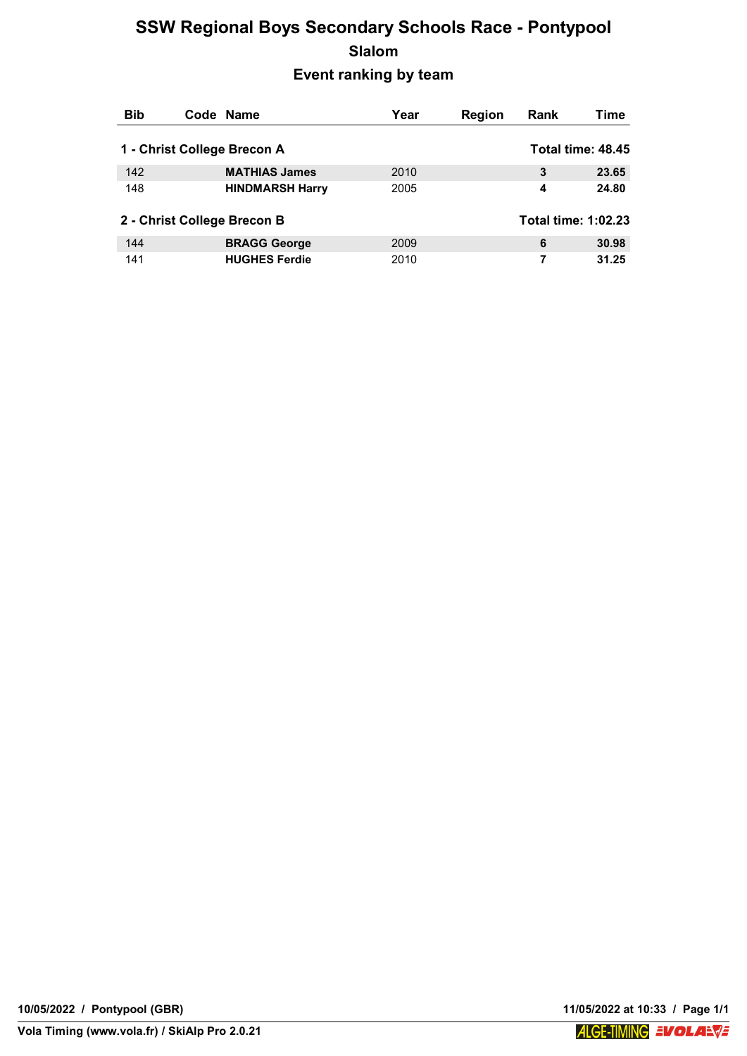## **SSW Regional Boys Secondary Schools Race - Pontypool Slalom Event ranking by team**

| <b>Bib</b> | Code Name                   | Year | <b>Region</b> | Rank                | Time              |
|------------|-----------------------------|------|---------------|---------------------|-------------------|
|            | 1 - Christ College Brecon A |      |               |                     | Total time: 48.45 |
| 142        | <b>MATHIAS James</b>        | 2010 |               | 3                   | 23.65             |
| 148        | <b>HINDMARSH Harry</b>      | 2005 |               | 4                   | 24.80             |
|            | 2 - Christ College Brecon B |      |               | Total time: 1:02.23 |                   |
| 144        | <b>BRAGG George</b>         | 2009 |               | 6                   | 30.98             |
| 141        | <b>HUGHES Ferdie</b>        | 2010 |               | 7                   | 31.25             |



**ALGE-TIMING EVOLABVE**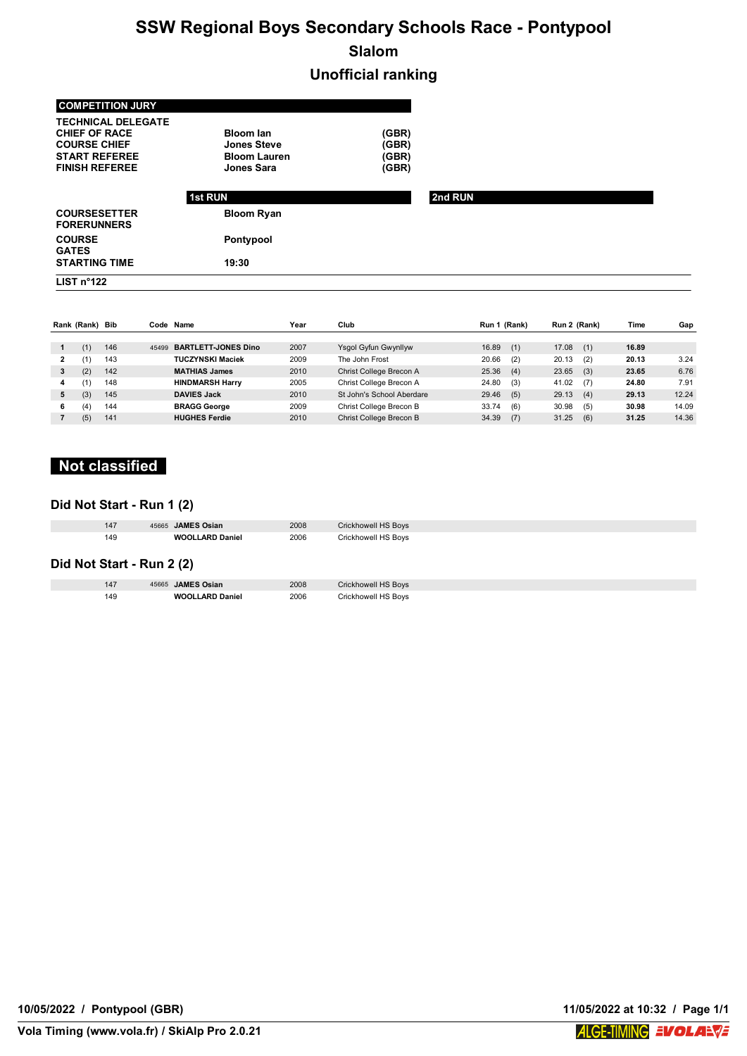# **SSW Regional Boys Secondary Schools Race - Pontypool Slalom**

## **Unofficial ranking**

| <b>COMPETITION JURY</b>                                                                                                   |                                                                                    |                                  |         |
|---------------------------------------------------------------------------------------------------------------------------|------------------------------------------------------------------------------------|----------------------------------|---------|
| <b>TECHNICAL DELEGATE</b><br><b>CHIEF OF RACE</b><br><b>COURSE CHIEF</b><br><b>START REFEREE</b><br><b>FINISH REFEREE</b> | <b>Bloom lan</b><br><b>Jones Steve</b><br><b>Bloom Lauren</b><br><b>Jones Sara</b> | (GBR)<br>(GBR)<br>(GBR)<br>(GBR) |         |
|                                                                                                                           | <b>1st RUN</b>                                                                     |                                  | 2nd RUN |
| <b>COURSESETTER</b><br><b>FORERUNNERS</b>                                                                                 | <b>Bloom Ryan</b>                                                                  |                                  |         |
| <b>COURSE</b><br><b>GATES</b>                                                                                             | Pontypool                                                                          |                                  |         |
| <b>STARTING TIME</b>                                                                                                      | 19:30                                                                              |                                  |         |
| LIST $n^{\circ}122$                                                                                                       |                                                                                    |                                  |         |

|    | Rank (Rank) Bib |     |       | Code Name                  | Year | Club                      | Run 1 (Rank) | Run 2 (Rank) | Time  | Gap   |
|----|-----------------|-----|-------|----------------------------|------|---------------------------|--------------|--------------|-------|-------|
|    | (1)             | 146 | 45499 | <b>BARTLETT JONES Dino</b> | 2007 | Ysgol Gyfun Gwynllyw      | 16.89<br>(1) | 17.08<br>(1) | 16.89 |       |
| 2  |                 | 143 |       | <b>TUCZYNSKI Maciek</b>    | 2009 | The John Frost            | 20.66<br>(2) | 20.13<br>(2) | 20.13 | 3.24  |
| 3  | (2)             | 142 |       | <b>MATHIAS James</b>       | 2010 | Christ College Brecon A   | 25.36<br>(4) | 23.65<br>(3) | 23.65 | 6.76  |
| 4  |                 | 148 |       | <b>HINDMARSH Harry</b>     | 2005 | Christ College Brecon A   | 24.80<br>(3) | 41.02<br>(7) | 24.80 | 7.91  |
| 5  | (3)             | 145 |       | <b>DAVIES Jack</b>         | 2010 | St John's School Aberdare | 29.46<br>(5) | 29.13<br>(4) | 29.13 | 12.24 |
| 6. | (4)             | 144 |       | <b>BRAGG George</b>        | 2009 | Christ College Brecon B   | 33.74<br>(6) | 30.98<br>(5) | 30.98 | 14.09 |
|    | (5)             | 141 |       | <b>HUGHES Ferdie</b>       | 2010 | Christ College Brecon B   | 34.39<br>(7) | 31.25<br>(6) | 31.25 | 14.36 |

## **Not classified**

### **Did Not Start - Run 1 (2)**

| 147                       | 45665 JAMES Osian      | 2008 | Crickhowell HS Boys |  |
|---------------------------|------------------------|------|---------------------|--|
| 149                       | <b>WOOLLARD Daniel</b> | 2006 | Crickhowell HS Boys |  |
| Did Not Start - Run 2 (2) |                        |      |                     |  |

| 147 | 45665 JAMES Osian      | 2008 | <b>Crickhowell HS Boys</b> |
|-----|------------------------|------|----------------------------|
| 149 | <b>WOOLLARD Daniel</b> | 2006 | <b>Crickhowell HS Boys</b> |